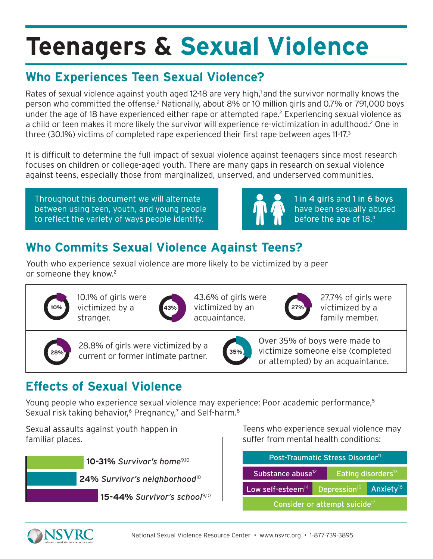## **Who Experiences Teen Sexual Violence?**

Rates of sexual violence against youth aged 12-18 are very high,<sup>1</sup> and the survivor normally knows the person who committed the offense.<sup>2</sup> Nationally, about 8% or 10 million girls and 0.7% or 791,000 boys under the age of 18 have experienced either rape or attempted rape.<sup>2</sup> Experiencing sexual violence as a child or teen makes it more likely the survivor will experience re-victimization in adulthood.<sup>2</sup> One in three (30.1%) victims of completed rape experienced their first rape between ages 11-17.3

It is difficult to determine the full impact of sexual violence against teenagers since most research focuses on children or college-aged youth. There are many gaps in research on sexual violence against teens, especially those from marginalized, unserved, and underserved communities.

Throughout this document we will alternate between using teen, youth, and young people to reflect the variety of ways people identify.



1 in 4 girls and 1 in 6 boys have been sexually abused before the age of 18.4

## **Who Commits Sexual Violence Against Teens?**

Youth who experience sexual violence are more likely to be victimized by a peer or someone they know.<sup>2</sup>



10.1% of girls were victimized by a stranger.



43.6% of girls were victimized by an acquaintance.



27.7% of girls were victimized by a family member.



28.8% of girls were victimized by a current or former intimate partner. **35%**



Over 35% of boys were made to victimize someone else (completed or attempted) by an acquaintance.

## **Effects of Sexual Violence**

Young people who experience sexual violence may experience: Poor academic performance,<sup>5</sup> Sexual risk taking behavior,<sup>6</sup> Pregnancy,<sup>7</sup> and Self-harm.<sup>8</sup>

Sexual assaults against youth happen in familiar places.



Teens who experience sexual violence may suffer from mental health conditions:

| Post-Traumatic Stress Disorder <sup>11</sup> |                          |                                |                       |  |
|----------------------------------------------|--------------------------|--------------------------------|-----------------------|--|
| Substance abuse <sup>12</sup>                |                          | Eating disorders <sup>13</sup> |                       |  |
| Low self-esteem <sup>14</sup>                | Depression <sup>15</sup> |                                | Anxiety <sup>16</sup> |  |
| Consider or attempt suicide <sup>17</sup>    |                          |                                |                       |  |

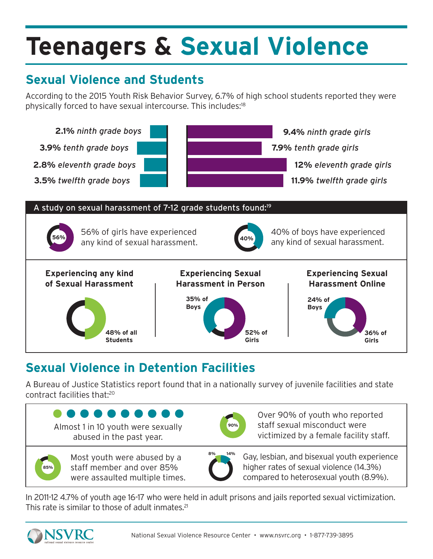## **Sexual Violence and Students**

According to the 2015 Youth Risk Behavior Survey, 6.7% of high school students reported they were physically forced to have sexual intercourse. This includes:<sup>18</sup>



## **Sexual Violence in Detention Facilities**

A Bureau of Justice Statistics report found that in a nationally survey of juvenile facilities and state contract facilities that:20



In 2011-12 4.7% of youth age 16-17 who were held in adult prisons and jails reported sexual victimization. This rate is similar to those of adult inmates.<sup>21</sup>

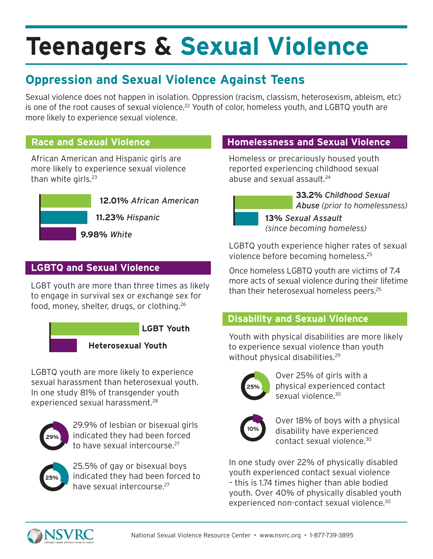## **Oppression and Sexual Violence Against Teens**

Sexual violence does not happen in isolation. Oppression (racism, classism, heterosexism, ableism, etc) is one of the root causes of sexual violence.<sup>22</sup> Youth of color, homeless youth, and LGBTQ youth are more likely to experience sexual violence.

#### **Race and Sexual Violence**

African American and Hispanic girls are more likely to experience sexual violence than white girls.<sup>23</sup>



#### **LGBTQ and Sexual Violence**

LGBT youth are more than three times as likely to engage in survival sex or exchange sex for food, money, shelter, drugs, or clothing.26



LGBTQ youth are more likely to experience sexual harassment than heterosexual youth. In one study 81% of transgender youth experienced sexual harassment.28



29.9% of lesbian or bisexual girls indicated they had been forced to have sexual intercourse.27



25.5% of gay or bisexual boys indicated they had been forced to have sexual intercourse.27

#### **Homelessness and Sexual Violence**

Homeless or precariously housed youth reported experiencing childhood sexual abuse and sexual assault.<sup>24</sup>

> **33.2%** *Childhood Sexual Abuse (prior to homelessness)*

**13%** *Sexual Assault (since becoming homeless)*

LGBTQ youth experience higher rates of sexual violence before becoming homeless.25

Once homeless LGBTQ youth are victims of 7.4 more acts of sexual violence during their lifetime than their heterosexual homeless peers.<sup>25</sup>

#### **Disability and Sexual Violence**

Youth with physical disabilities are more likely to experience sexual violence than youth without physical disabilities.<sup>29</sup>

| 25% |  |
|-----|--|
|     |  |

Over 25% of girls with a physical experienced contact sexual violence.<sup>30</sup>



Over 18% of boys with a physical disability have experienced contact sexual violence.30

In one study over 22% of physically disabled youth experienced contact sexual violence – this is 1.74 times higher than able bodied youth. Over 40% of physically disabled youth experienced non-contact sexual violence.<sup>30</sup>

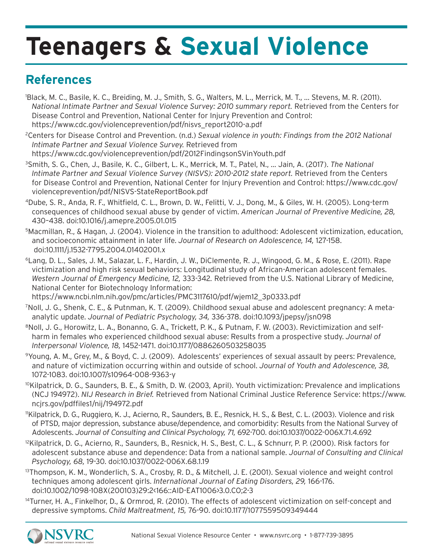### **References**

- 1 Black, M. C., Basile, K. C., Breiding, M. J., Smith, S. G., Walters, M. L., Merrick, M. T., … Stevens, M. R. (2011). *National Intimate Partner and Sexual Violence Survey: 2010 summary report.* Retrieved from the Centers for Disease Control and Prevention, National Center for Injury Prevention and Control: https://www.cdc.gov/violenceprevention/pdf/nisvs\_report2010-a.pdf
- 2 Centers for Disease Control and Prevention. (n.d.) *Sexual violence in youth: Findings from the 2012 National Intimate Partner and Sexual Violence Survey.* Retrieved from https://www.cdc.gov/violenceprevention/pdf/2012FindingsonSVinYouth.pdf
- 3 Smith, S. G., Chen, J., Basile, K. C., Gilbert, L. K., Merrick, M. T., Patel, N., … Jain, A. (2017). *The National Intimate Partner and Sexual Violence Survey (NISVS): 2010-2012 state report.* Retrieved from the Centers for Disease Control and Prevention, National Center for Injury Prevention and Control: https://www.cdc.gov/ violenceprevention/pdf/NISVS-StateReportBook.pdf
- 4Dube, S. R., Anda, R. F., Whitfield, C. L., Brown, D. W., Felitti, V. J., Dong, M., & Giles, W. H. (2005). Long-term consequences of childhood sexual abuse by gender of victim. *American Journal of Preventive Medicine, 28,* 430–438. doi:10.1016/j.amepre.2005.01.015
- 5Macmillan, R., & Hagan, J. (2004). Violence in the transition to adulthood: Adolescent victimization, education, and socioeconomic attainment in later life. *Journal of Research on Adolescence, 14,* 127-158. doi:10.1111/j.1532-7795.2004.01402001.x
- 6Lang, D. L., Sales, J. M., Salazar, L. F., Hardin, J. W., DiClemente, R. J., Wingood, G. M., & Rose, E. (2011). Rape victimization and high risk sexual behaviors: Longitudinal study of African-American adolescent females. *Western Journal of Emergency Medicine, 12,* 333-342*.* Retrieved from the U.S. National Library of Medicine, National Center for Biotechnology Information:

https://www.ncbi.nlm.nih.gov/pmc/articles/PMC3117610/pdf/wjem12\_3p0333.pdf

- 7 Noll, J. G., Shenk, C. E., & Putnman, K. T. (2009). Childhood sexual abuse and adolescent pregnancy: A metaanalytic update. *Journal of Pediatric Psychology, 34,* 336-378. doi:10.1093/jpepsy/jsn098
- 8Noll, J. G., Horowitz, L. A., Bonanno, G. A., Trickett, P. K., & Putnam, F. W. (2003). Revictimization and selfharm in females who experienced childhood sexual abuse: Results from a prospective study. *Journal of Interpersonal Violence, 18,* 1452-1471. doi:10.1177/0886260503258035
- 9Young, A. M., Grey, M., & Boyd, C. J. (2009). Adolescents' experiences of sexual assault by peers: Prevalence, and nature of victimization occurring within and outside of school. *Journal of Youth and Adolescence, 38,* 1072-1083. doi:10.1007/s10964-008-9363-y
- 10Kilpatrick, D. G., Saunders, B. E., & Smith, D. W. (2003, April). Youth victimization: Prevalence and implications (NCJ 194972). *NIJ Research in Brief.* Retrieved from National Criminal Justice Reference Service: https://www. ncjrs.gov/pdffiles1/nij/194972.pdf
- 11Kilpatrick, D. G., Ruggiero, K. J., Acierno, R., Saunders, B. E., Resnick, H. S., & Best, C. L. (2003). Violence and risk of PTSD, major depression, substance abuse/dependence, and comorbidity: Results from the National Survey of Adolescents. *Journal of Consulting and Clinical Psychology, 71,* 692-700. doi:10.1037/0022-006X.71.4.692
- <sup>12</sup>Kilpatrick, D. G., Acierno, R., Saunders, B., Resnick, H. S., Best, C. L., & Schnurr, P. P. (2000). Risk factors for adolescent substance abuse and dependence: Data from a national sample. *Journal of Consulting and Clinical Psychology, 68,* 19-30. doi:10.1037/0022-006X.68.1.19
- 13Thompson, K. M., Wonderlich, S. A., Crosby, R. D., & Mitchell, J. E. (2001). Sexual violence and weight control techniques among adolescent girls. *International Journal of Eating Disorders, 29,* 166-176. doi:10.1002/1098-108X(200103)29:2<166::AID-EAT1006>3.0.CO;2-3
- <sup>14</sup>Turner, H. A., Finkelhor, D., & Ormrod, R. (2010). The effects of adolescent victimization on self-concept and depressive symptoms. *Child Maltreatment, 15,* 76-90. doi:10.1177/1077559509349444